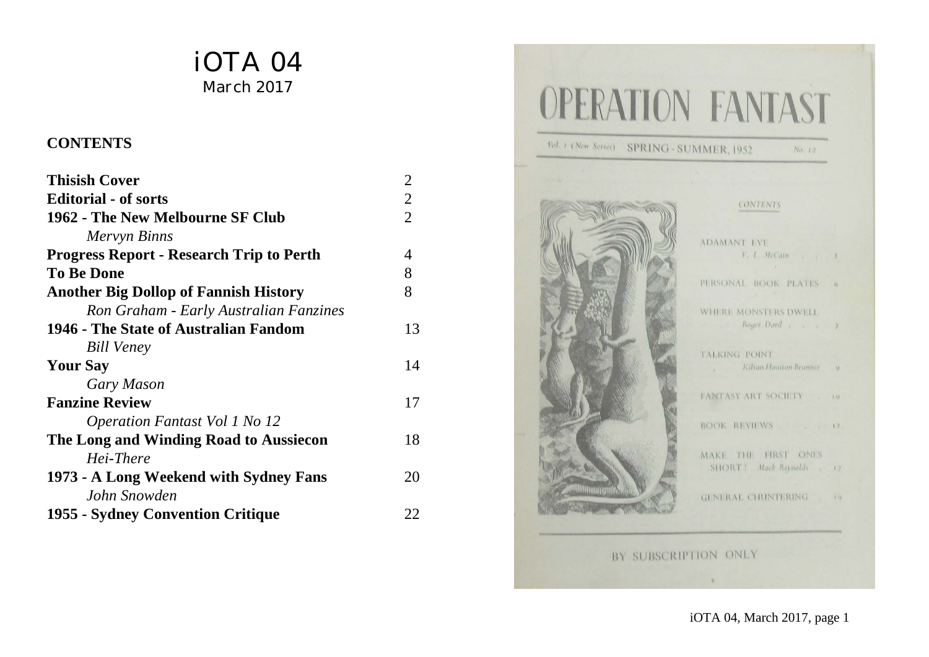# iOTA 04 March 2017

#### **CONTENTS**

| <b>Thisish Cover</b>                            | $\overline{2}$ |
|-------------------------------------------------|----------------|
| <b>Editorial - of sorts</b>                     | $\overline{2}$ |
| 1962 - The New Melbourne SF Club                | $\overline{2}$ |
| Mervyn Binns                                    |                |
| <b>Progress Report - Research Trip to Perth</b> | 4              |
| <b>To Be Done</b>                               | 8              |
| <b>Another Big Dollop of Fannish History</b>    | 8              |
| Ron Graham - Early Australian Fanzines          |                |
| 1946 - The State of Australian Fandom           | 13             |
| <b>Bill Veney</b>                               |                |
| <b>Your Say</b>                                 | 14             |
| Gary Mason                                      |                |
| <b>Fanzine Review</b>                           | 17             |
| <i>Operation Fantast Vol 1 No 12</i>            |                |
| The Long and Winding Road to Aussiecon          | 18             |
| Hei-There                                       |                |
| 1973 - A Long Weekend with Sydney Fans          | 20             |
| John Snowden                                    |                |
| 1955 - Sydney Convention Critique               | 22             |



iOTA 04, March 2017, page 1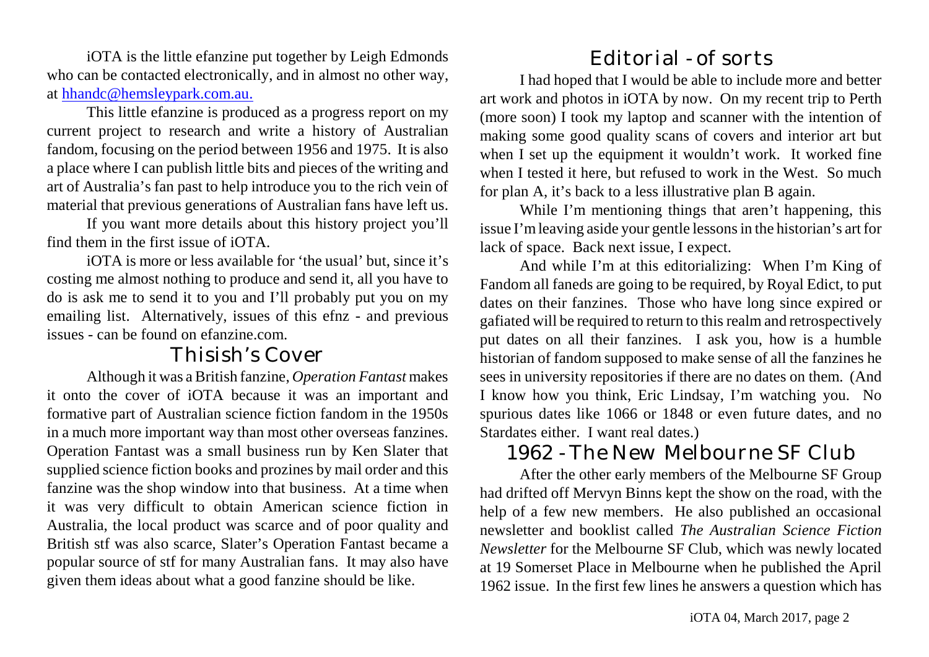iOTA is the little efanzine put together by Leigh Edmonds who can be contacted electronically, and in almost no other way, at [hhandc@hemsleypark.com.au.](mailto:hhandc@hemsleypark.com.au.)

This little efanzine is produced as a progress report on my current project to research and write a history of Australian fandom, focusing on the period between 1956 and 1975. It is also a place where I can publish little bits and pieces of the writing and art of Australia's fan past to help introduce you to the rich vein of material that previous generations of Australian fans have left us.

If you want more details about this history project you'll find them in the first issue of iOTA.

iOTA is more or less available for 'the usual' but, since it's costing me almost nothing to produce and send it, all you have to do is ask me to send it to you and I'll probably put you on my emailing list. Alternatively, issues of this efnz - and previous issues - can be found on efanzine.com.

### Thisish's Cover

Although it was a British fanzine, *Operation Fantast* makes it onto the cover of iOTA because it was an important and formative part of Australian science fiction fandom in the 1950s in a much more important way than most other overseas fanzines. Operation Fantast was a small business run by Ken Slater that supplied science fiction books and prozines by mail order and this fanzine was the shop window into that business. At a time when it was very difficult to obtain American science fiction in Australia, the local product was scarce and of poor quality and British stf was also scarce, Slater's Operation Fantast became a popular source of stf for many Australian fans. It may also have given them ideas about what a good fanzine should be like.

# Editorial - of sorts

I had hoped that I would be able to include more and better art work and photos in iOTA by now. On my recent trip to Perth (more soon) I took my laptop and scanner with the intention of making some good quality scans of covers and interior art but when I set up the equipment it wouldn't work. It worked fine when I tested it here, but refused to work in the West. So much for plan A, it's back to a less illustrative plan B again.

While I'm mentioning things that aren't happening, this issue I'mleaving aside your gentle lessons in the historian's artfor lack of space. Back next issue, I expect.

And while I'm at this editorializing: When I'm King of Fandom all faneds are going to be required, by Royal Edict, to put dates on their fanzines. Those who have long since expired or gafiated will be required to return to this realm and retrospectively put dates on all their fanzines. I ask you, how is a humble historian of fandom supposed to make sense of all the fanzines he sees in university repositories if there are no dates on them. (And I know how you think, Eric Lindsay, I'm watching you. No spurious dates like 1066 or 1848 or even future dates, and no Stardates either. I want real dates.)

## 1962 - The New Melbourne SF Club

After the other early members of the Melbourne SF Group had drifted off Mervyn Binns kept the show on the road, with the help of a few new members. He also published an occasional newsletter and booklist called *The Australian Science Fiction Newsletter* for the Melbourne SF Club, which was newly located at 19 Somerset Place in Melbourne when he published the April 1962 issue. In the first few lines he answers a question which has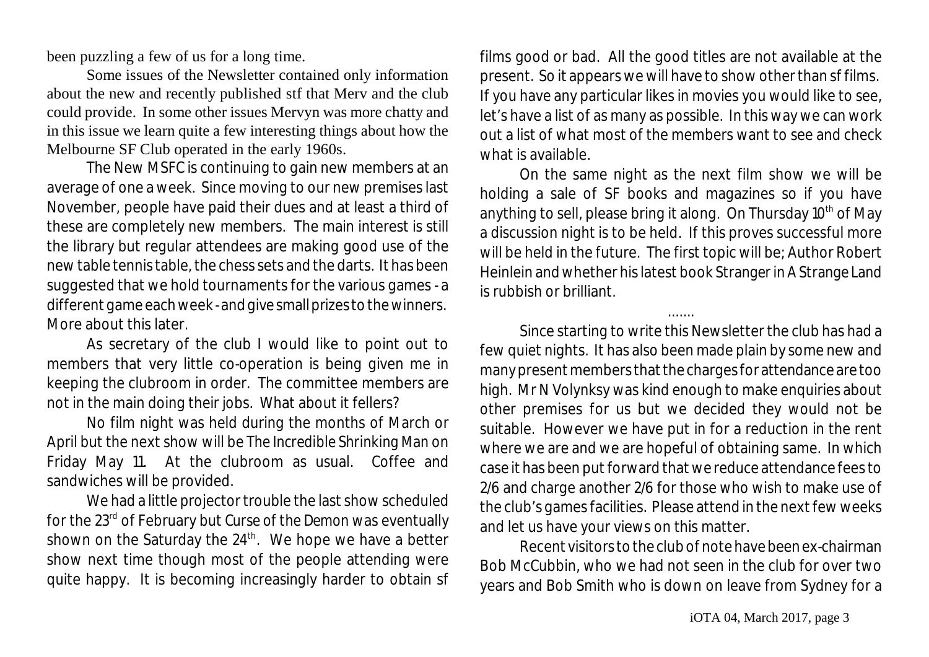been puzzling a few of us for a long time.

Some issues of the Newsletter contained only information about the new and recently published stf that Merv and the club could provide. In some other issues Mervyn was more chatty and in this issue we learn quite a few interesting things about how the Melbourne SF Club operated in the early 1960s.

The New MSFC is continuing to gain new members at an average of one a week. Since moving to our new premises last November, people have paid their dues and at least a third of these are completely new members. The main interest is still the library but regular attendees are making good use of the new table tennis table, the chess sets and the darts. It has been suggested that we hold tournaments for the various games - a different game each week - and give small prizes to the winners. More about this later.

As secretary of the club I would like to point out to members that very little co-operation is being given me in keeping the clubroom in order. The committee members are not in the main doing their jobs. What about it fellers?

No film night was held during the months of March or April but the next show will be *The Incredible Shrinking Man* on Friday May 11. At the clubroom as usual. Coffee and sandwiches will be provided.

We had a little projector trouble the last show scheduled for the 23<sup>rd</sup> of February but *Curse of the Demon* was eventually shown on the Saturday the 24 $^{\rm th}$ . We hope we have a better show next time though most of the people attending were quite happy. It is becoming increasingly harder to obtain sf films good or bad. All the good titles are not available at the present. So it appears we will have to show other than sf films. If you have any particular likes in movies you would like to see, let's have a list of as many as possible. In this way we can work out a list of what most of the members want to see and check what is available.

On the same night as the next film show we will be holding a sale of SF books and magazines so if you have anything to sell, please bring it along. On Thursday 10<sup>th</sup> of May a discussion night is to be held. If this proves successful more will be held in the future. The first topic will be; Author Robert Heinlein and whether his latest book *Stranger in A Strange Land* is rubbish or brilliant.

.......

Since starting to write this Newsletter the club has had a few quiet nights. It has also been made plain by some new and many present members that the charges for attendance are too high. Mr N Volynksy was kind enough to make enquiries about other premises for us but we decided they would not be suitable. However we have put in for a reduction in the rent where we are and we are hopeful of obtaining same. In which case it has been put forward that we reduce attendance fees to 2/6 and charge another 2/6 for those who wish to make use of the club's games facilities. Please attend in the next few weeks and let us have your views on this matter.

Recent visitors to the club of note have been ex-chairman Bob McCubbin, who we had not seen in the club for over two years and Bob Smith who is down on leave from Sydney for a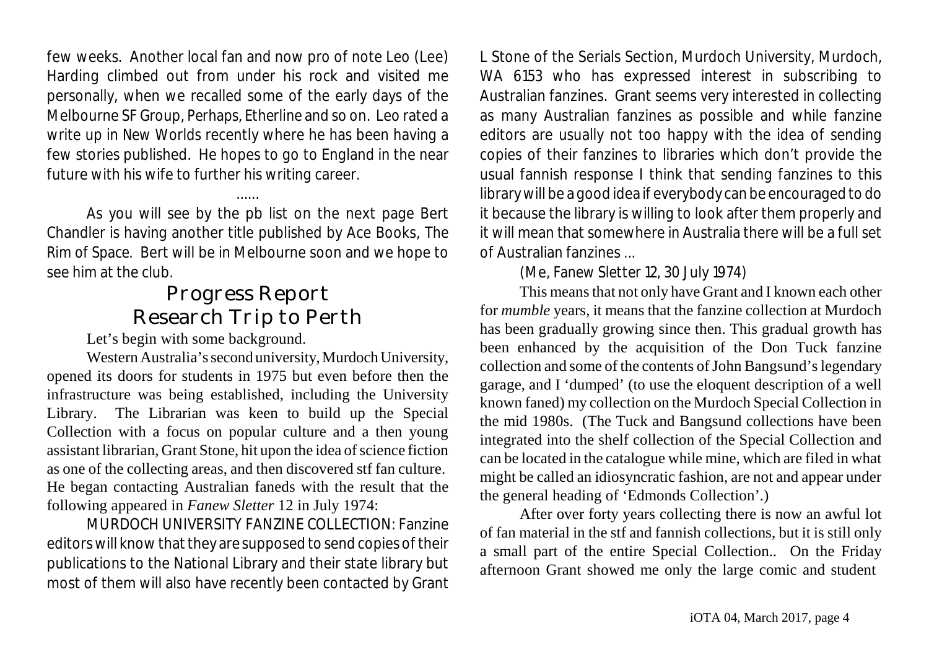few weeks. Another local fan and now pro of note Leo (Lee) Harding climbed out from under his rock and visited me personally, when we recalled some of the early days of the Melbourne SF Group, *Perhaps*, *Etherline* and so on. Leo rated a write up in *New Worlds* recently where he has been having a few stories published. He hopes to go to England in the near future with his wife to further his writing career.

As you will see by the pb list on the next page Bert Chandler is having another title published by Ace Books, *The Rim of Space*. Bert will be in Melbourne soon and we hope to see him at the club.

......

## Progress Report Research Trip to Perth

Let's begin with some background.

Western Australia's second university, Murdoch University, opened its doors for students in 1975 but even before then the infrastructure was being established, including the University Library. The Librarian was keen to build up the Special Collection with a focus on popular culture and a then young assistant librarian, Grant Stone, hit upon the idea of science fiction as one of the collecting areas, and then discovered stf fan culture. He began contacting Australian faneds with the result that the following appeared in *Fanew Sletter* 12 in July 1974:

MURDOCH UNIVERSITY FANZINE COLLECTION: Fanzine editors will know that they are supposed to send copies of their publications to the National Library and their state library but most of them will also have recently been contacted by Grant L Stone of the Serials Section, Murdoch University, Murdoch, WA 6153 who has expressed interest in subscribing to Australian fanzines. Grant seems very interested in collecting as many Australian fanzines as possible and while fanzine editors are usually not too happy with the idea of sending copies of their fanzines to libraries which don't provide the usual fannish response I think that sending fanzines to this librarywill be a good idea if everybody can be encouraged to do it because the library is willing to look after them properly and it will mean that somewhere in Australia there will be a full set of Australian fanzines ...

(Me, *Fanew Sletter* 12, 30 July 1974)

This means that not only have Grant and I known each other for *mumble* years, it means that the fanzine collection at Murdoch has been gradually growing since then. This gradual growth has been enhanced by the acquisition of the Don Tuck fanzine collection and some of the contents of John Bangsund's legendary garage, and I 'dumped' (to use the eloquent description of a well known faned) my collection on the Murdoch Special Collection in the mid 1980s. (The Tuck and Bangsund collections have been integrated into the shelf collection of the Special Collection and can be located in the catalogue while mine, which are filed in what might be called an idiosyncratic fashion, are not and appear under the general heading of 'Edmonds Collection'.)

After over forty years collecting there is now an awful lot of fan material in the stf and fannish collections, but it is still only a small part of the entire Special Collection.. On the Friday afternoon Grant showed me only the large comic and student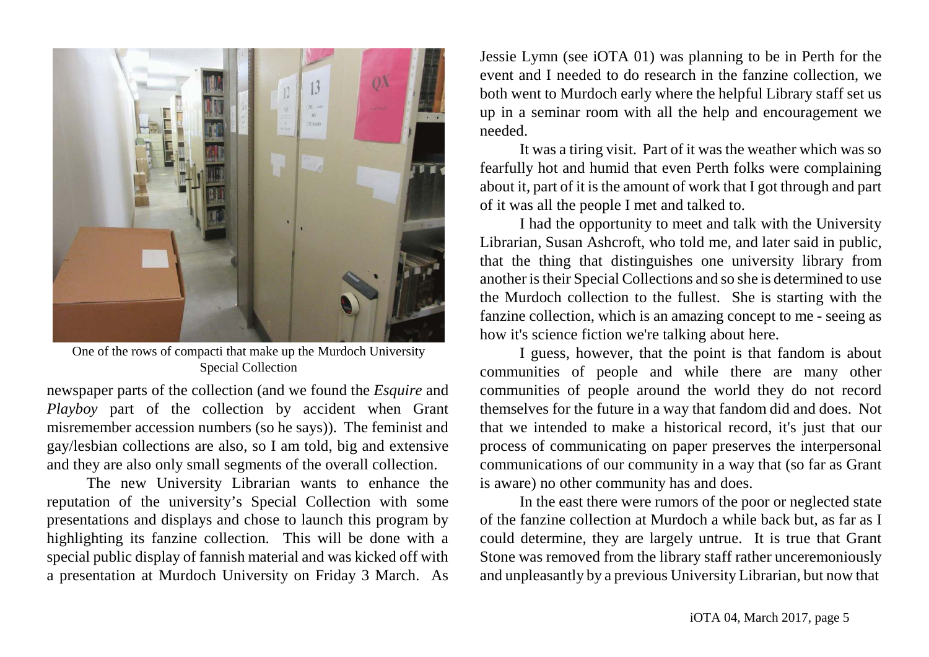

One of the rows of compacti that make up the Murdoch University Special Collection

newspaper parts of the collection (and we found the *Esquire* and *Playboy* part of the collection by accident when Grant misremember accession numbers (so he says)). The feminist and gay/lesbian collections are also, so I am told, big and extensive and they are also only small segments of the overall collection.

The new University Librarian wants to enhance the reputation of the university's Special Collection with some presentations and displays and chose to launch this program by highlighting its fanzine collection. This will be done with a special public display of fannish material and was kicked off with a presentation at Murdoch University on Friday 3 March. As

Jessie Lymn (see iOTA 01) was planning to be in Perth for the event and I needed to do research in the fanzine collection, we both went to Murdoch early where the helpful Library staff set us up in a seminar room with all the help and encouragement we needed.

It was a tiring visit. Part of it was the weather which was so fearfully hot and humid that even Perth folks were complaining about it, part of it is the amount of work that I got through and part of it was all the people I met and talked to.

I had the opportunity to meet and talk with the University Librarian, Susan Ashcroft, who told me, and later said in public, that the thing that distinguishes one university library from another is their Special Collections and so she is determined to use the Murdoch collection to the fullest. She is starting with the fanzine collection, which is an amazing concept to me - seeing as how it's science fiction we're talking about here.

I guess, however, that the point is that fandom is about communities of people and while there are many other communities of people around the world they do not record themselves for the future in a way that fandom did and does. Not that we intended to make a historical record, it's just that our process of communicating on paper preserves the interpersonal communications of our community in a way that (so far as Grant is aware) no other community has and does.

In the east there were rumors of the poor or neglected state of the fanzine collection at Murdoch a while back but, as far as I could determine, they are largely untrue. It is true that Grant Stone was removed from the library staff rather unceremoniously and unpleasantly by a previous University Librarian, but now that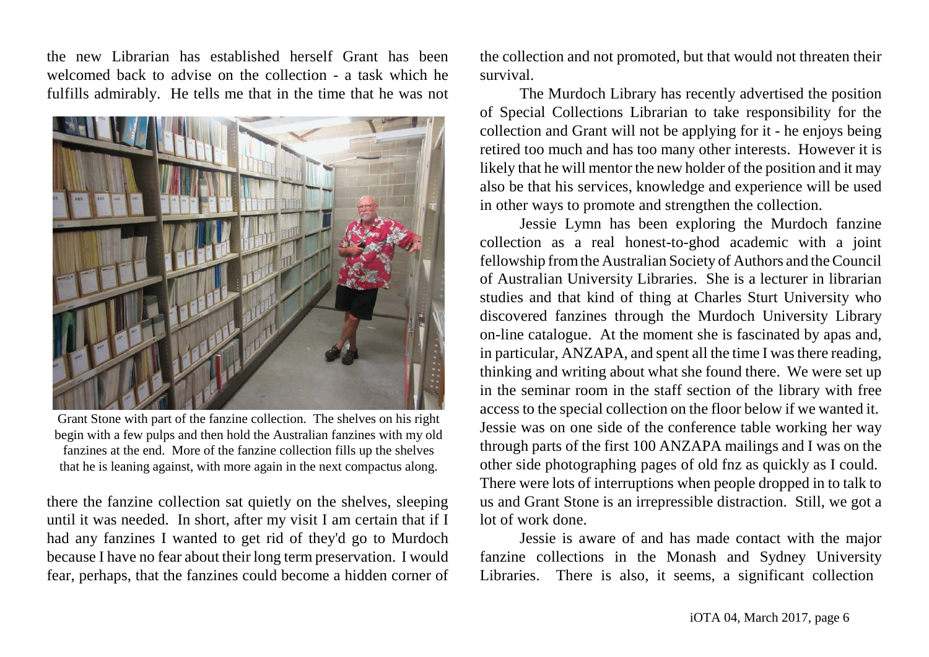the new Librarian has established herself Grant has been welcomed back to advise on the collection - a task which he fulfills admirably. He tells me that in the time that he was not



Grant Stone with part of the fanzine collection. The shelves on his right begin with a few pulps and then hold the Australian fanzines with my old fanzines at the end. More of the fanzine collection fills up the shelves that he is leaning against, with more again in the next compactus along.

there the fanzine collection sat quietly on the shelves, sleeping until it was needed. In short, after my visit I am certain that if I had any fanzines I wanted to get rid of they'd go to Murdoch because I have no fear about their long term preservation. I would fear, perhaps, that the fanzines could become a hidden corner of the collection and not promoted, but that would not threaten their survival.

The Murdoch Library has recently advertised the position of Special Collections Librarian to take responsibility for the collection and Grant will not be applying for it - he enjoys being retired too much and has too many other interests. However it is likely that he will mentor the new holder of the position and it may also be that his services, knowledge and experience will be used in other ways to promote and strengthen the collection.

Jessie Lymn has been exploring the Murdoch fanzine collection as a real honest-to-ghod academic with a joint fellowship fromthe Australian Society of Authors and the Council of Australian University Libraries. She is a lecturer in librarian studies and that kind of thing at Charles Sturt University who discovered fanzines through the Murdoch University Library on-line catalogue. At the moment she is fascinated by apas and, in particular, ANZAPA, and spent all the time I was there reading, thinking and writing about what she found there. We were set up in the seminar room in the staff section of the library with free access to the special collection on the floor below if we wanted it. Jessie was on one side of the conference table working her way through parts of the first 100 ANZAPA mailings and I was on the other side photographing pages of old fnz as quickly as I could. There were lots of interruptions when people dropped in to talk to us and Grant Stone is an irrepressible distraction. Still, we got a lot of work done.

Jessie is aware of and has made contact with the major fanzine collections in the Monash and Sydney University Libraries. There is also, it seems, a significant collection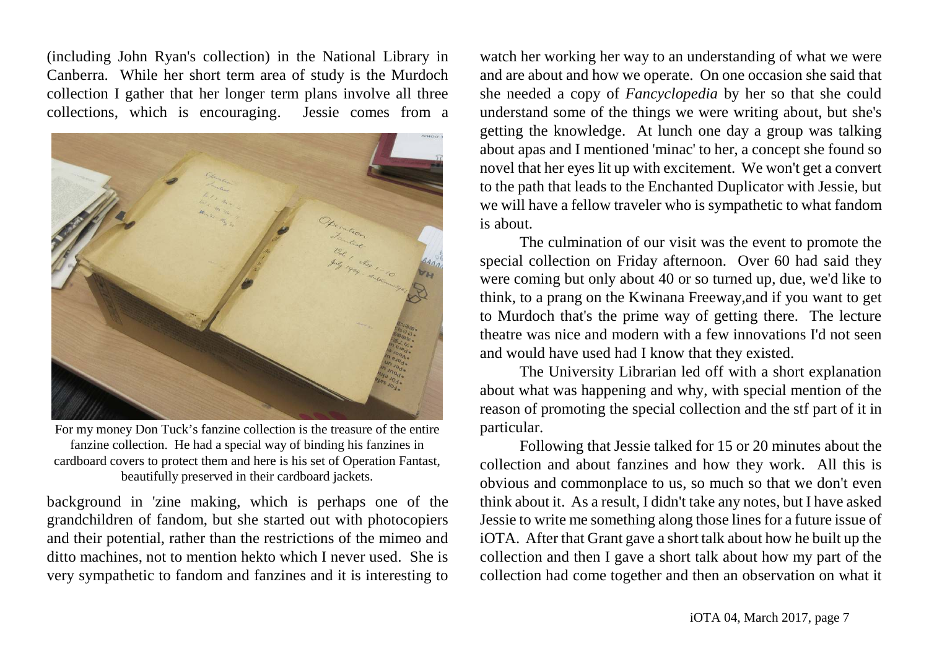(including John Ryan's collection) in the National Library in Canberra. While her short term area of study is the Murdoch collection I gather that her longer term plans involve all three collections, which is encouraging. Jessie comes from a



For my money Don Tuck's fanzine collection is the treasure of the entire fanzine collection. He had a special way of binding his fanzines in cardboard covers to protect them and here is his set of Operation Fantast, beautifully preserved in their cardboard jackets.

background in 'zine making, which is perhaps one of the grandchildren of fandom, but she started out with photocopiers and their potential, rather than the restrictions of the mimeo and ditto machines, not to mention hekto which I never used. She is very sympathetic to fandom and fanzines and it is interesting to

watch her working her way to an understanding of what we were and are about and how we operate. On one occasion she said that she needed a copy of *Fancyclopedia* by her so that she could understand some of the things we were writing about, but she's getting the knowledge. At lunch one day a group was talking about apas and I mentioned 'minac' to her, a concept she found so novel that her eyes lit up with excitement. We won't get a convert to the path that leads to the Enchanted Duplicator with Jessie, but we will have a fellow traveler who is sympathetic to what fandom is about.

The culmination of our visit was the event to promote the special collection on Friday afternoon. Over 60 had said they were coming but only about 40 or so turned up, due, we'd like to think, to a prang on the Kwinana Freeway,and if you want to get to Murdoch that's the prime way of getting there. The lecture theatre was nice and modern with a few innovations I'd not seen and would have used had I know that they existed.

The University Librarian led off with a short explanation about what was happening and why, with special mention of the reason of promoting the special collection and the stf part of it in particular.

Following that Jessie talked for 15 or 20 minutes about the collection and about fanzines and how they work. All this is obvious and commonplace to us, so much so that we don't even think about it. As a result, I didn't take any notes, but I have asked Jessie to write me something along those lines for a future issue of iOTA. After that Grant gave a short talk about how he built up the collection and then I gave a short talk about how my part of the collection had come together and then an observation on what it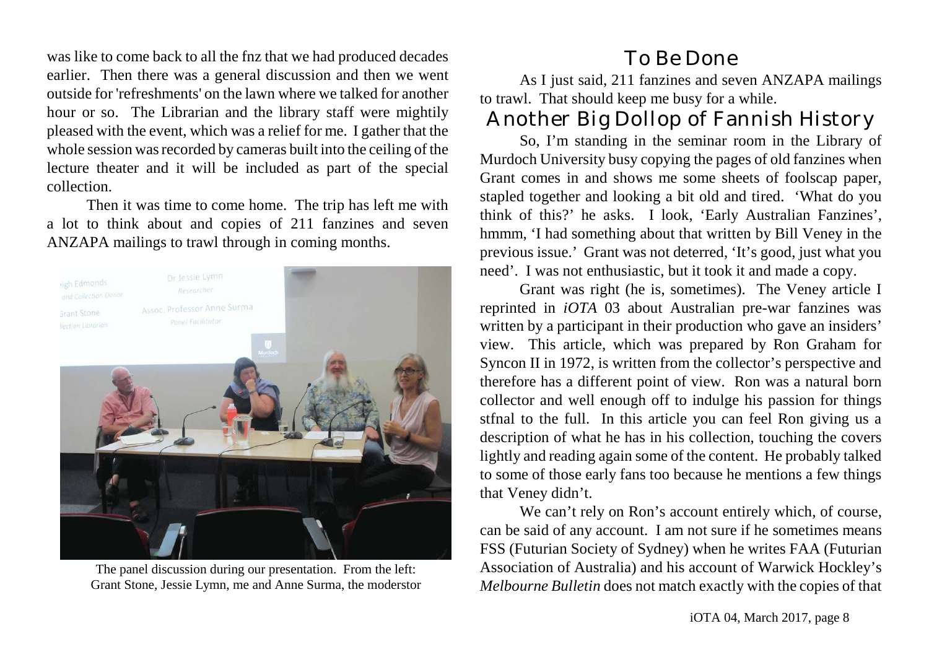was like to come back to all the fnz that we had produced decades earlier. Then there was a general discussion and then we went outside for 'refreshments' on the lawn where we talked for another hour or so. The Librarian and the library staff were mightily pleased with the event, which was a relief for me. I gather that the whole session was recorded by cameras built into the ceiling of the lecture theater and it will be included as part of the special collection.

Then it was time to come home. The trip has left me with a lot to think about and copies of 211 fanzines and seven ANZAPA mailings to trawl through in coming months.



The panel discussion during our presentation. From the left: Grant Stone, Jessie Lymn, me and Anne Surma, the moderstor

### To Be Done

As I just said, 211 fanzines and seven ANZAPA mailings to trawl. That should keep me busy for a while.

# Another Big Dollop of Fannish History

So, I'm standing in the seminar room in the Library of Murdoch University busy copying the pages of old fanzines when Grant comes in and shows me some sheets of foolscap paper, stapled together and looking a bit old and tired. 'What do you think of this?' he asks. I look, 'Early Australian Fanzines', hmmm, 'I had something about that written by Bill Veney in the previous issue.' Grant was not deterred, 'It's good, just what you need'. I was not enthusiastic, but it took it and made a copy.

Grant was right (he is, sometimes). The Veney article I reprinted in *iOTA* 03 about Australian pre-war fanzines was written by a participant in their production who gave an insiders' view. This article, which was prepared by Ron Graham for Syncon II in 1972, is written from the collector's perspective and therefore has a different point of view. Ron was a natural born collector and well enough off to indulge his passion for things stfnal to the full. In this article you can feel Ron giving us a description of what he has in his collection, touching the covers lightly and reading again some of the content. He probably talked to some of those early fans too because he mentions a few things that Veney didn't.

We can't rely on Ron's account entirely which, of course, can be said of any account. I am not sure if he sometimes means FSS (Futurian Society of Sydney) when he writes FAA (Futurian Association of Australia) and his account of Warwick Hockley's *Melbourne Bulletin* does not match exactly with the copies of that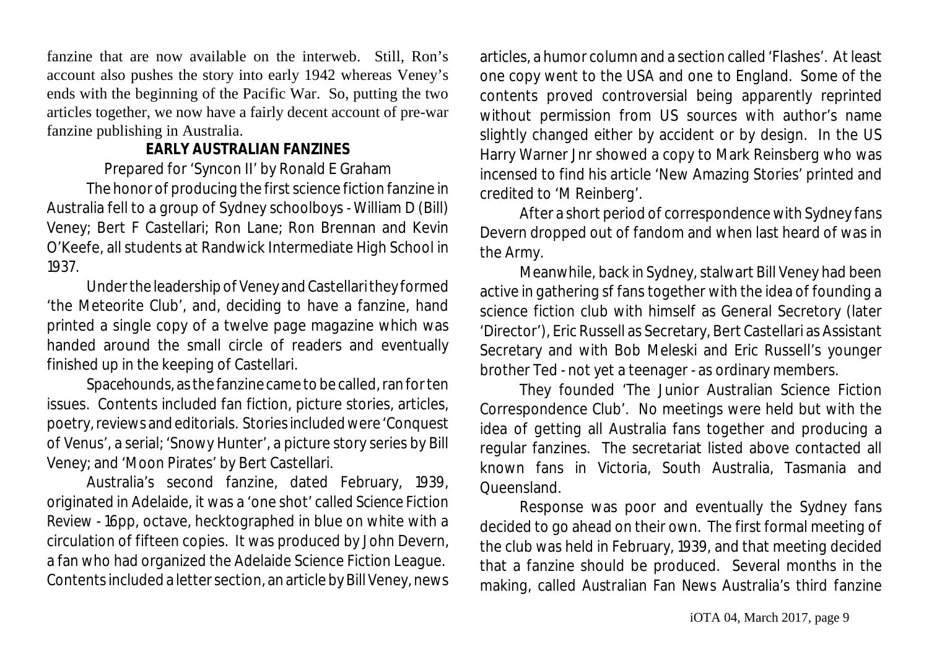fanzine that are now available on the interweb. Still, Ron's account also pushes the story into early 1942 whereas Veney's ends with the beginning of the Pacific War. So, putting the two articles together, we now have a fairly decent account of pre-war fanzine publishing in Australia.

#### **EARLY AUSTRALIAN FANZINES**

Prepared for 'Syncon II' by Ronald E Graham

The honor of producing the first science fiction fanzine in Australia fell to a group of Sydney schoolboys - William D (Bill) Veney; Bert F Castellari; Ron Lane; Ron Brennan and Kevin O'Keefe, all students at Randwick Intermediate High School in 1937.

Under the leadership of Veney and Castellarithey formed 'the Meteorite Club', and, deciding to have a fanzine, hand printed a single copy of a twelve page magazine which was handed around the small circle of readers and eventually finished up in the keeping of Castellari.

*Spacehounds*, as the fanzine came to be called, ran for ten issues. Contents included fan fiction, picture stories, articles, poetry, reviews and editorials. Stories included were 'Conquest of Venus', a serial; 'Snowy Hunter', a picture story series by Bill Veney; and 'Moon Pirates' by Bert Castellari.

Australia's second fanzine, dated February, 1939, originated in Adelaide, it was a 'one shot' called *Science Fiction Review* - 16pp, octave, hecktographed in blue on white with a circulation of fifteen copies. It was produced by John Devern, a fan who had organized the Adelaide Science Fiction League. Contents included a letter section, an article by Bill Veney, news

articles, a humor column and a section called 'Flashes'. At least one copy went to the USA and one to England. Some of the contents proved controversial being apparently reprinted without permission from US sources with author's name slightly changed either by accident or by design. In the US Harry Warner Jnr showed a copy to Mark Reinsberg who was incensed to find his article 'New Amazing Stories' printed and credited to 'M Reinberg'.

After a short period of correspondence with Sydney fans Devern dropped out of fandom and when last heard of was in the Army.

Meanwhile, back in Sydney, stalwart Bill Veney had been active in gathering sf fans together with the idea of founding a science fiction club with himself as General Secretory (later 'Director'), Eric Russell as Secretary, Bert Castellari as Assistant Secretary and with Bob Meleski and Eric Russell's younger brother Ted - not yet a teenager - as ordinary members.

They founded 'The Junior Australian Science Fiction Correspondence Club'. No meetings were held but with the idea of getting all Australia fans together and producing a regular fanzines. The secretariat listed above contacted all known fans in Victoria, South Australia, Tasmania and Queensland.

Response was poor and eventually the Sydney fans decided to go ahead on their own. The first formal meeting of the club was held in February, 1939, and that meeting decided that a fanzine should be produced. Several months in the making, called *Australian Fan News* Australia's third fanzine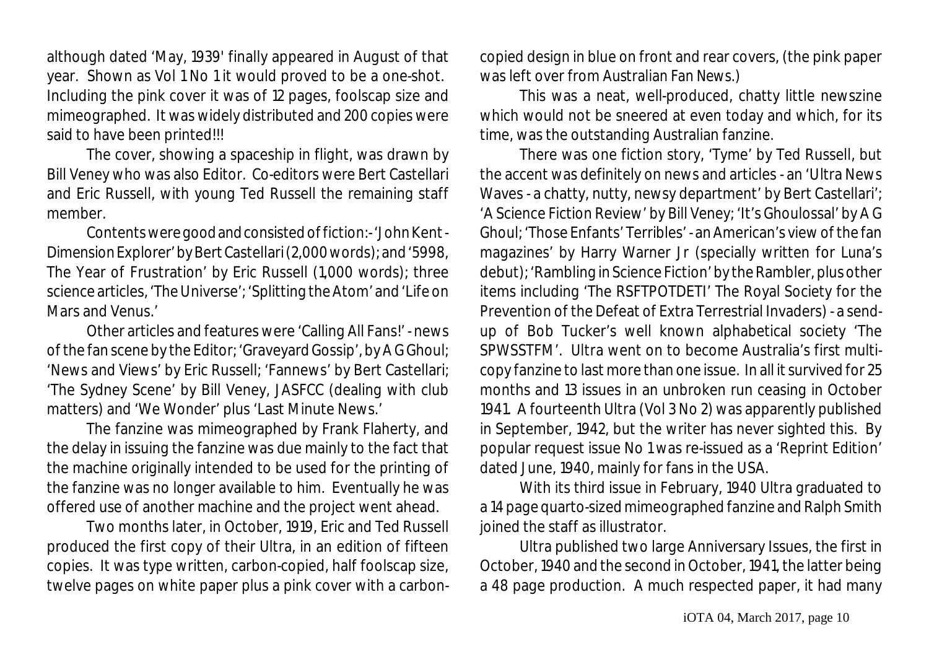although dated 'May, 1939' finally appeared in August of that year. Shown as Vol 1 No 1 it would proved to be a one-shot. Including the pink cover it was of 12 pages, foolscap size and mimeographed. It was widely distributed and 200 copies were said to have been printed!!!

The cover, showing a spaceship in flight, was drawn by Bill Veney who was also Editor. Co-editors were Bert Castellari and Eric Russell, with young Ted Russell the remaining staff member.

Contents were goodandconsisted of fiction:- 'John Kent - Dimension Explorer' by Bert Castellari (2,000 words); and '5998, The Year of Frustration' by Eric Russell (1,000 words); three science articles, 'The Universe'; 'Splitting the Atom' and 'Life on Mars and Venus.'

Other articles and features were 'Calling All Fans!' - news of the fan scene by the Editor; 'Graveyard Gossip', by A G Ghoul; 'News and Views' by Eric Russell; 'Fannews' by Bert Castellari; 'The Sydney Scene' by Bill Veney, JASFCC (dealing with club matters) and 'We Wonder' plus 'Last Minute News.'

The fanzine was mimeographed by Frank Flaherty, and the delay in issuing the fanzine was due mainly to the fact that the machine originally intended to be used for the printing of the fanzine was no longer available to him. Eventually he was offered use of another machine and the project went ahead.

Two months later, in October, 1919, Eric and Ted Russell produced the first copy of their *Ultra*, in an edition of fifteen copies. It was type written, carbon-copied, half foolscap size, twelve pages on white paper plus a pink cover with a carboncopied design in blue on front and rear covers, (the pink paper was left over from *Australian Fan News*.)

This was a neat, well-produced, chatty little newszine which would not be sneered at even today and which, for its time, was the outstanding Australian fanzine.

There was one fiction story, 'Tyme' by Ted Russell, but the accent was definitely on news and articles - an 'Ultra News Waves - a chatty, nutty, newsy department' by Bert Castellari'; 'A Science Fiction Review' by Bill Veney; 'It's Ghoulossal' by A G Ghoul; 'Those Enfants' Terribles' - an American's view of the fan magazines' by Harry Warner Jr (specially written for *Luna*'s debut); 'Rambling in Science Fiction'by the Rambler, plus other items including 'The RSFTPOTDETI' The Royal Society for the Prevention of the Defeat of Extra Terrestrial Invaders) - a sendup of Bob Tucker's well known alphabetical society 'The SPWSSTFM'. *Ultra* went on to become Australia's first multicopy fanzine to last more than one issue. In all it survived for 25 months and 13 issues in an unbroken run ceasing in October 1941. A fourteenth *Ultra* (Vol 3 No 2) was apparently published in September, 1942, but the writer has never sighted this. By popular request issue No 1 was re-issued as a 'Reprint Edition' dated June, 1940, mainly for fans in the USA.

With its third issue in February, 1940 *Ultra* graduated to a 14 page quarto-sized mimeographed fanzine and Ralph Smith joined the staff as illustrator.

*Ultra* published two large Anniversary Issues, the first in October, 1940 and the second in October, 1941, the latter being a 48 page production. A much respected paper, it had many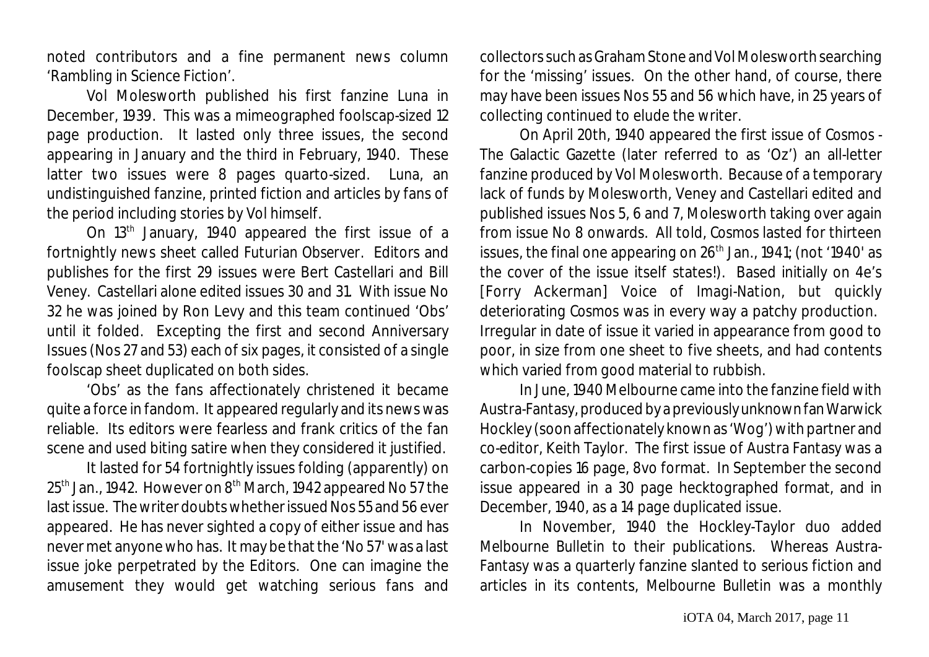noted contributors and a fine permanent news column 'Rambling in Science Fiction'.

Vol Molesworth published his first fanzine *Luna* in December, 1939. This was a mimeographed foolscap-sized 12 page production. It lasted only three issues, the second appearing in January and the third in February, 1940. These latter two issues were 8 pages quarto-sized. *Luna*, an undistinguished fanzine, printed fiction and articles by fans of the period including stories by Vol himself.

On 13<sup>th</sup> January, 1940 appeared the first issue of a fortnightly news sheet called *Futurian Observer*. Editors and publishes for the first 29 issues were Bert Castellari and Bill Veney. Castellari alone edited issues 30 and 31. With issue No 32 he was joined by Ron Levy and this team continued 'Obs' until it folded. Excepting the first and second Anniversary Issues (Nos 27 and 53) each of six pages, it consisted of a single foolscap sheet duplicated on both sides.

'Obs' as the fans affectionately christened it became quite a force in fandom. It appeared regularly and its news was reliable. Its editors were fearless and frank critics of the fan scene and used biting satire when they considered it justified.

It lasted for 54 fortnightly issues folding (apparently) on  $25<sup>th</sup>$  Jan., 1942. However on  $8<sup>th</sup>$  March, 1942 appeared No 57 the last issue. The writer doubtswhether issued Nos 55 and 56 ever appeared. He has never sighted a copy of either issue and has never met anyone who has. It may be that the 'No 57' was a last issue joke perpetrated by the Editors. One can imagine the amusement they would get watching serious fans and

collectors such as Graham Stone and Vol Molesworth searching for the 'missing' issues. On the other hand, of course, there may have been issues Nos 55 and 56 which have, in 25 years of collecting continued to elude the writer.

On April 20th, 1940 appeared the first issue of *Cosmos - The Galactic Gazette* (later referred to as 'Oz') an all-letter fanzine produced by Vol Molesworth. Because of a temporary lack of funds by Molesworth, Veney and Castellari edited and published issues Nos 5, 6 and 7, Molesworth taking over again from issue No 8 onwards. All told, *Cosmos* lasted for thirteen issues, the final one appearing on  $26<sup>th</sup>$  Jan., 1941; (not '1940' as the cover of the issue itself states!). Based initially on 4e's [Forry Ackerman] *Voice of Imagi-Nation*, but quickly deteriorating *Cosmos* was in every way a patchy production. Irregular in date of issue it varied in appearance from good to poor, in size from one sheet to five sheets, and had contents which varied from good material to rubbish.

In June, 1940 Melbourne came into the fanzine field with *Austra-Fantasy*, produced by a previouslyunknownfanWarwick Hockley (soon affectionately known as 'Wog') with partner and co-editor, Keith Taylor. The first issue of *Austra Fantasy* was a carbon-copies 16 page, 8vo format. In September the second issue appeared in a 30 page hecktographed format, and in December, 1940, as a 14 page duplicated issue.

In November, 1940 the Hockley-Taylor duo added *Melbourne Bulletin* to their publications. Whereas *Austra-Fantasy* was a quarterly fanzine slanted to serious fiction and articles in its contents, *Melbourne Bulletin* was a monthly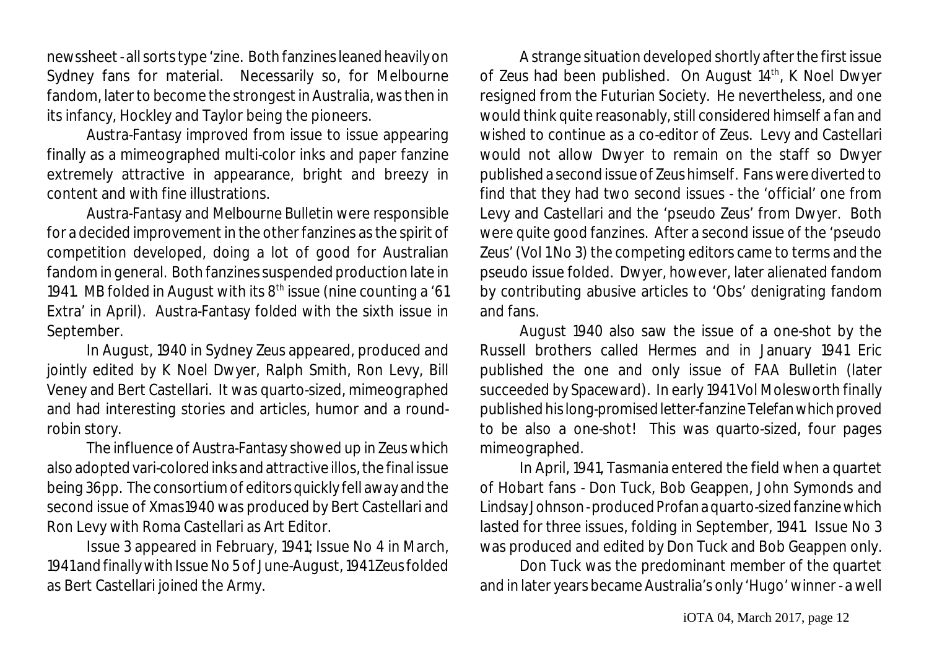newssheet- all sorts type 'zine. Both fanzines leaned heavily on Sydney fans for material. Necessarily so, for Melbourne fandom, later to become the strongest in Australia, was then in its infancy, Hockley and Taylor being the pioneers.

*Austra-Fantasy* improved from issue to issue appearing finally as a mimeographed multi-color inks and paper fanzine extremely attractive in appearance, bright and breezy in content and with fine illustrations.

*Austra-Fantasy* and *Melbourne Bulletin* were responsible for a decided improvement in the other fanzines as the spirit of competition developed, doing a lot of good for Australian fandom in general. Both fanzines suspended production late in 1941. *MB* folded in August with its 8<sup>th</sup> issue (nine counting a '61 Extra' in April). *Austra-Fantasy* folded with the sixth issue in September.

In August, 1940 in Sydney *Zeus* appeared, produced and jointly edited by K Noel Dwyer, Ralph Smith, Ron Levy, Bill Veney and Bert Castellari. It was quarto-sized, mimeographed and had interesting stories and articles, humor and a roundrobin story.

The influence of *Austra-Fantasy* showed up in *Zeus* which also adopted vari-colored inks and attractive illos, the final issue being 36pp. The consortium of editors quickly fell away and the second issue of Xmas1940 was produced by Bert Castellari and Ron Levy with Roma Castellari as Art Editor.

Issue 3 appeared in February, 1941; Issue No 4 in March, 1941 and finally with Issue No 5 of June-August, 1941 Zeus folded as Bert Castellari joined the Army.

A strange situation developed shortly after the first issue of Zeus had been published. On August 14<sup>th</sup>, K Noel Dwyer resigned from the Futurian Society. He nevertheless, and one would think quite reasonably, still considered himself a fan and wished to continue as a co-editor of *Zeus*. Levy and Castellari would not allow Dwyer to remain on the staff so Dwyer published a second issue of *Zeus* himself. Fans were diverted to find that they had two second issues - the 'official' one from Levy and Castellari and the 'pseudo *Zeus*' from Dwyer. Both were quite good fanzines. After a second issue of the 'pseudo *Zeus*' (Vol 1 No 3) the competing editors came to terms and the pseudo issue folded. Dwyer, however, later alienated fandom by contributing abusive articles to 'Obs' denigrating fandom and fans.

August 1940 also saw the issue of a one-shot by the Russell brothers called *Hermes* and in January 1941 Eric published the one and only issue of *FAA Bulletin* (later succeeded by *Spaceward*). In early 1941 Vol Molesworth finally published his long-promisedletter-fanzine *Telefan*whichproved to be also a one-shot! This was quarto-sized, four pages mimeographed.

In April, 1941, Tasmania entered the field when a quartet of Hobart fans - Don Tuck, Bob Geappen, John Symonds and Lindsay Johnson-produced *Profan* a quarto-sized fanzine which lasted for three issues, folding in September, 1941. Issue No 3 was produced and edited by Don Tuck and Bob Geappen only.

Don Tuck was the predominant member of the quartet and in later years became Australia's only 'Hugo' winner - a well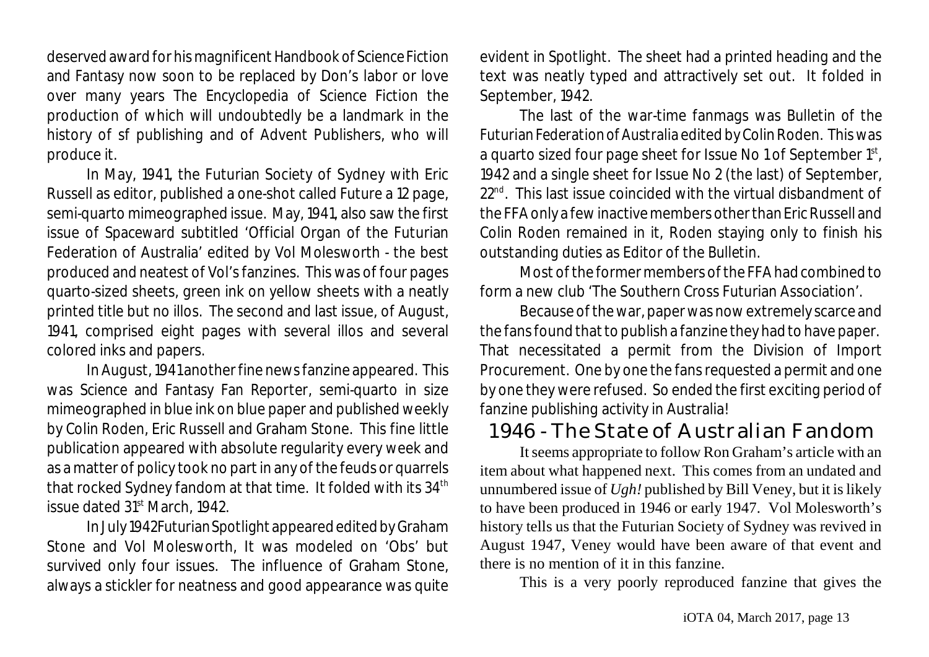deserved award for his magnificent *Handbook of Science Fiction and Fantasy* now soon to be replaced by Don's labor or love over many years *The Encyclopedia of Science Fiction* the production of which will undoubtedly be a landmark in the history of sf publishing and of Advent Publishers, who will produce it.

In May, 1941, the Futurian Society of Sydney with Eric Russell as editor, published a one-shot called *Future* a 12 page, semi-quarto mimeographed issue. May, 1941, also saw the first issue of *Spaceward* subtitled 'Official Organ of the Futurian Federation of Australia' edited by Vol Molesworth - the best produced and neatest of Vol's fanzines. This was of four pages quarto-sized sheets, green ink on yellow sheets with a neatly printed title but no illos. The second and last issue, of August, 1941, comprised eight pages with several illos and several colored inks and papers.

In August, 1941 another fine news fanzine appeared. This was *Science and Fantasy Fan Reporter*, semi-quarto in size mimeographed in blue ink on blue paper and published weekly by Colin Roden, Eric Russell and Graham Stone. This fine little publication appeared with absolute regularity every week and as a matter of policy took no part in any of the feuds or quarrels that rocked Sydney fandom at that time. It folded with its 34<sup>th</sup> issue dated  $31<sup>st</sup>$  March, 1942.

In July 1942*FuturianSpotlight* appeared edited by Graham Stone and Vol Molesworth, It was modeled on 'Obs' but survived only four issues. The influence of Graham Stone, always a stickler for neatness and good appearance was quite evident in *Spotlight*. The sheet had a printed heading and the text was neatly typed and attractively set out. It folded in September, 1942.

The last of the war-time fanmags was *Bulletin of the Futurian Federation of Australia* edited by Colin Roden. This was a quarto sized four page sheet for Issue No 1 of September 1 $^{\rm st}$ , 1942 and a single sheet for Issue No 2 (the last) of September,  $22<sup>nd</sup>$ . This last issue coincided with the virtual disbandment of the FFA only a fewinactive members other than Eric Russell and Colin Roden remained in it, Roden staying only to finish his outstanding duties as Editor of the *Bulletin*.

Most of the former members of the FFA had combined to form a new club 'The Southern Cross Futurian Association'.

Because of the war, paper was now extremely scarce and the fans found that to publish a fanzine they had to have paper. That necessitated a permit from the Division of Import Procurement. One by one the fans requested a permit and one by one they were refused. So ended the first exciting period of fanzine publishing activity in Australia!

### 1946 - The State of Australian Fandom

It seems appropriate to follow Ron Graham's article with an item about what happened next. This comes from an undated and unnumbered issue of *Ugh!* published by Bill Veney, but it is likely to have been produced in 1946 or early 1947. Vol Molesworth's history tells us that the Futurian Society of Sydney was revived in August 1947, Veney would have been aware of that event and there is no mention of it in this fanzine.

This is a very poorly reproduced fanzine that gives the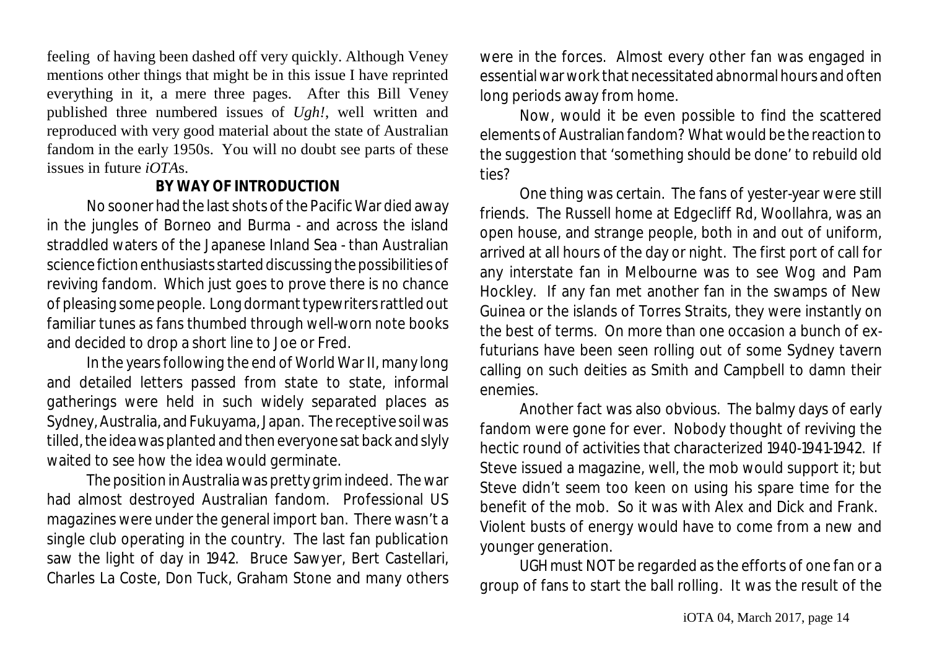feeling of having been dashed off very quickly. Although Veney mentions other things that might be in this issue I have reprinted everything in it, a mere three pages. After this Bill Veney published three numbered issues of *Ugh!*, well written and reproduced with very good material about the state of Australian fandom in the early 1950s. You will no doubt see parts of these issues in future *iOTA*s.

#### **BY WAY OF INTRODUCTION**

No sooner had the last shots of the Pacific War died away in the jungles of Borneo and Burma - and across the island straddled waters of the Japanese Inland Sea - than Australian science fiction enthusiasts started discussing the possibilities of reviving fandom. Which just goes to prove there is no chance of pleasing somepeople. Long dormant typewriters rattled out familiar tunes as fans thumbed through well-worn note books and decided to drop a short line to Joe or Fred.

In the years following the end of World War II, many long and detailed letters passed from state to state, informal gatherings were held in such widely separated places as Sydney, Australia, and Fukuyama, Japan. The receptive soil was tilled, the idea was planted and then everyone sat back and slyly waited to see how the idea would germinate.

The position in Australia was pretty grim indeed. The war had almost destroyed Australian fandom. Professional US magazines were under the general import ban. There wasn't a single club operating in the country. The last fan publication saw the light of day in 1942. Bruce Sawyer, Bert Castellari, Charles La Coste, Don Tuck, Graham Stone and many others were in the forces. Almost every other fan was engaged in essential war work that necessitated abnormal hours and often long periods away from home.

Now, would it be even possible to find the scattered elements of Australian fandom? What would be the reaction to the suggestion that 'something should be done' to rebuild old ties?

One thing was certain. The fans of yester-year were still friends. The Russell home at Edgecliff Rd, Woollahra, was an open house, and strange people, both in and out of uniform, arrived at all hours of the day or night. The first port of call for any interstate fan in Melbourne was to see Wog and Pam Hockley. If any fan met another fan in the swamps of New Guinea or the islands of Torres Straits, they were instantly on the best of terms. On more than one occasion a bunch of exfuturians have been seen rolling out of some Sydney tavern calling on such deities as Smith and Campbell to damn their enemies.

Another fact was also obvious. The balmy days of early fandom were gone for ever. Nobody thought of reviving the hectic round of activities that characterized 1940-1941-1942. If Steve issued a magazine, well, the mob would support it; but Steve didn't seem too keen on using his spare time for the benefit of the mob. So it was with Alex and Dick and Frank. Violent busts of energy would have to come from a new and younger generation.

*UGH* must NOT be regarded as the efforts of one fan or a group of fans to start the ball rolling. It was the result of the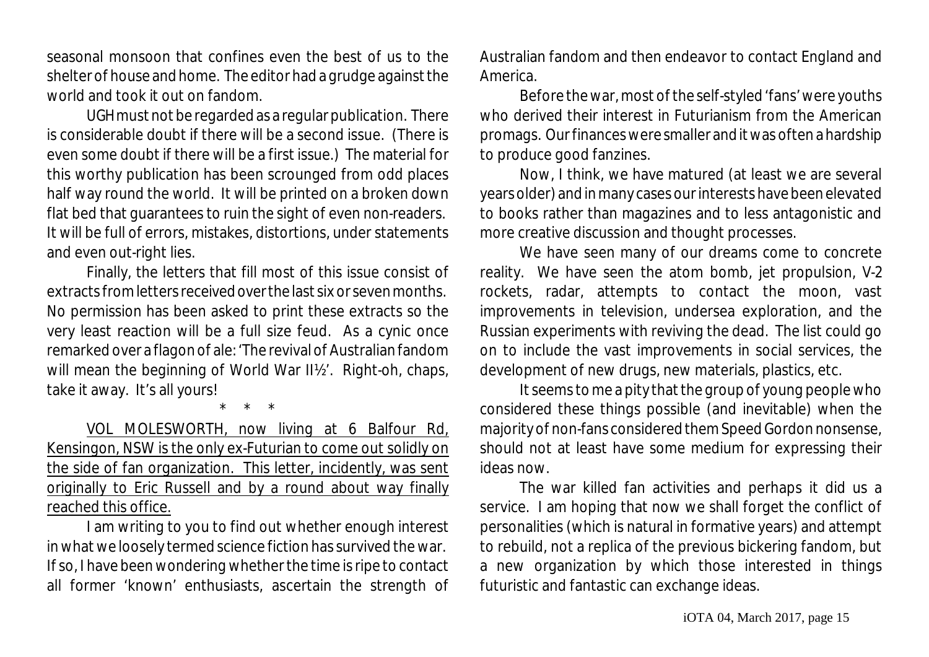seasonal monsoon that confines even the best of us to the shelter of house and home. The editor had a grudge against the world and took it out on fandom.

*UGH*must not be regarded as a regular publication. There is considerable doubt if there will be a second issue. (There is even some doubt if there will be a first issue.) The material for this worthy publication has been scrounged from odd places half way round the world. It will be printed on a broken down flat bed that guarantees to ruin the sight of even non-readers. It will be full of errors, mistakes, distortions, under statements and even out-right lies.

Finally, the letters that fill most of this issue consist of extracts from letters receivedoverthe last six or seven months. No permission has been asked to print these extracts so the very least reaction will be a full size feud. As a cynic once remarked over a flagon of ale: 'The revival of Australian fandom will mean the beginning of World War II½'. Right-oh, chaps, take it away. It's all yours!

\* \* \*

VOL MOLESWORTH, now living at 6 Balfour Rd, Kensingon, NSW is the only ex-Futurian to come out solidly on the side of fan organization. This letter, incidently, was sent originally to Eric Russell and by a round about way finally reached this office.

I am writing to you to find out whether enough interest in what we loosely termed science fiction has survived the war. If so, I have been wondering whether the time is ripe to contact all former 'known' enthusiasts, ascertain the strength of Australian fandom and then endeavor to contact England and America.

Before the war, most of the self-styled 'fans' were youths who derived their interest in Futurianism from the American promags. Our finances were smaller and it was often a hardship to produce good fanzines.

Now, I think, we have matured (at least we are several years older) and in many cases our interests have been elevated to books rather than magazines and to less antagonistic and more creative discussion and thought processes.

We have seen many of our dreams come to concrete reality. We have seen the atom bomb, jet propulsion, V-2 rockets, radar, attempts to contact the moon, vast improvements in television, undersea exploration, and the Russian experiments with reviving the dead. The list could go on to include the vast improvements in social services, the development of new drugs, new materials, plastics, etc.

It seems to me a pity that the group of young people who considered these things possible (and inevitable) when the majority of non-fans considered them Speed Gordon nonsense, should not at least have some medium for expressing their ideas now.

The war killed fan activities and perhaps it did us a service. I am hoping that now we shall forget the conflict of personalities (which is natural in formative years) and attempt to rebuild, not a replica of the previous bickering fandom, but a new organization by which those interested in things futuristic and fantastic can exchange ideas.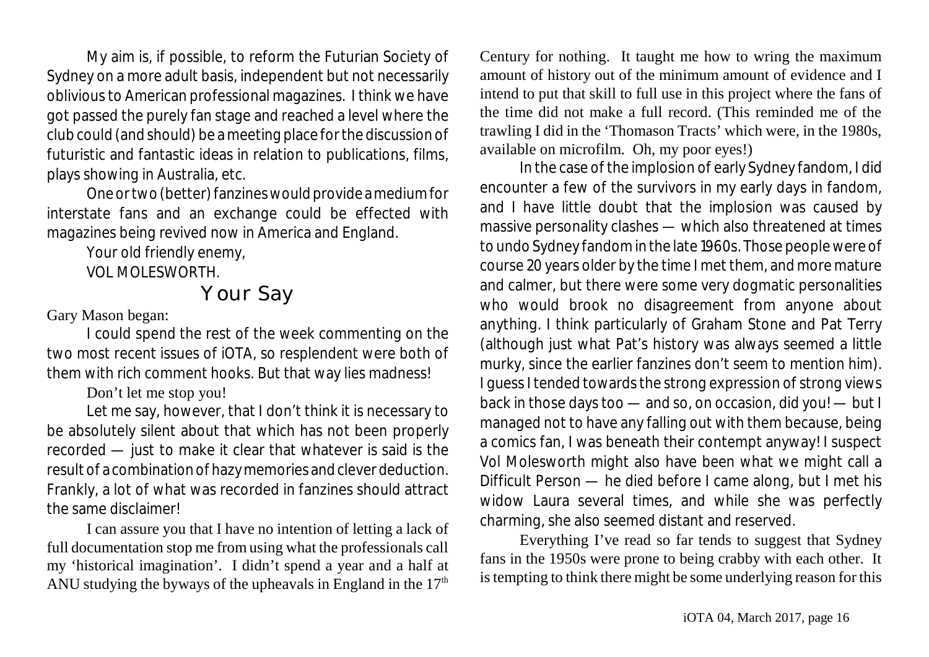My aim is, if possible, to reform the Futurian Society of Sydney on a more adult basis, independent but not necessarily oblivious to American professional magazines. I think we have got passed the purely fan stage and reached a level where the club could (and should) be a meeting place for the discussion of futuristic and fantastic ideas in relation to publications, films, plays showing in Australia, etc.

One or two (better) fanzines would provide amedium for interstate fans and an exchange could be effected with magazines being revived now in America and England.

Your old friendly enemy,

VOL MOLESWORTH.

# Your Say

Gary Mason began:

I could spend the rest of the week commenting on the two most recent issues of iOTA, so resplendent were both of them with rich comment hooks. But that way lies madness!

Don't let me stop you!

Let me say, however, that I don't think it is necessary to be absolutely silent about that which has not been properly recorded — just to make it clear that whatever is said is the result of a combination of hazy memories and clever deduction. Frankly, a lot of what was recorded in fanzines should attract the same disclaimer!

I can assure you that I have no intention of letting a lack of full documentation stop me from using what the professionals call my 'historical imagination'. I didn't spend a year and a half at ANU studying the byways of the upheavals in England in the  $17<sup>th</sup>$ 

Century for nothing. It taught me how to wring the maximum amount of history out of the minimum amount of evidence and I intend to put that skill to full use in this project where the fans of the time did not make a full record. (This reminded me of the trawling I did in the 'Thomason Tracts' which were, in the 1980s, available on microfilm. Oh, my poor eyes!)

In the case of the implosion of early Sydney fandom, I did encounter a few of the survivors in my early days in fandom, and I have little doubt that the implosion was caused by massive personality clashes — which also threatened at times to undo Sydney fandom in the late 1960s. Those people were of course 20 years older by the time I met them, and more mature and calmer, but there were some very dogmatic personalities who would brook no disagreement from anyone about anything. I think particularly of Graham Stone and Pat Terry (although just what Pat's history was always seemed a little murky, since the earlier fanzines don't seem to mention him). I guess I tended towards the strong expression of strong views back in those days too — and so, on occasion, did you! — but I managed not to have any falling out with them because, being a comics fan, I was beneath their contempt anyway! I suspect Vol Molesworth might also have been what we might call a Difficult Person — he died before I came along, but I met his widow Laura several times, and while she was perfectly charming, she also seemed distant and reserved.

Everything I've read so far tends to suggest that Sydney fans in the 1950s were prone to being crabby with each other. It is tempting to think there might be some underlying reason for this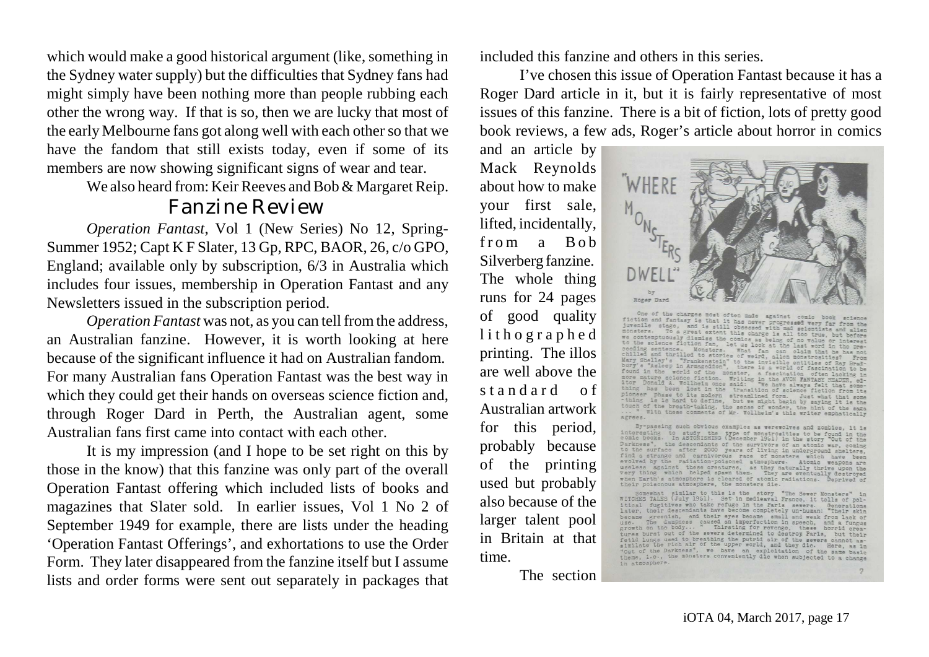which would make a good historical argument (like, something in the Sydney water supply) but the difficulties that Sydney fans had might simply have been nothing more than people rubbing each other the wrong way. If that is so, then we are lucky that most of the early Melbourne fans got along well with each other so that we have the fandom that still exists today, even if some of its members are now showing significant signs of wear and tear.

We also heard from: Keir Reeves and Bob  $&$  Margaret Reip.

### Fanzine Review

*Operation Fantast*, Vol 1 (New Series) No 12, Spring-Summer 1952; Capt K F Slater, 13 Gp, RPC, BAOR, 26, c/o GPO, England; available only by subscription, 6/3 in Australia which includes four issues, membership in Operation Fantast and any Newsletters issued in the subscription period.

*Operation Fantast* was not, as you can tell from the address. an Australian fanzine. However, it is worth looking at here because of the significant influence it had on Australian fandom. For many Australian fans Operation Fantast was the best way in which they could get their hands on overseas science fiction and, through Roger Dard in Perth, the Australian agent, some Australian fans first came into contact with each other.

It is my impression (and I hope to be set right on this by those in the know) that this fanzine was only part of the overall Operation Fantast offering which included lists of books and magazines that Slater sold. In earlier issues, Vol 1 No 2 of September 1949 for example, there are lists under the heading 'Operation Fantast Offerings', and exhortations to use the Order Form. They later disappeared from the fanzine itself but I assume lists and order forms were sent out separately in packages that included this fanzine and others in this series.

I've chosen this issue of Operation Fantast because it has a Roger Dard article in it, but it is fairly representative of most issues of this fanzine. There is a bit of fiction, lots of pretty good book reviews, a few ads, Roger's article about horror in comics

and an article by Mack Reynolds about how to make your first sale, lifted, incidentally, from a Bob Silverberg fanzine. The whole thing runs for 24 pages of good quality l i thographed printing. The illos are well above the standard of Australian artwork for this period, probably because of the printing used but probably also because of the larger talent pool in Britain at that time.

The section



One of the charges most often made against comic book science<br>juvenile signs, is that it has never progressed very far from the<br>investigation and fantasy is that it has never progressed very far from the<br>mosters. To a grea One of the charges most often made against comic book 100 Donald A. Wollhelm once each: "We have always felt that some-<br>thing has been lost in the transition of science fiction from its<br>pioneer phase to its modern streamlined form. Just what that some-<br>thing is is hard to def AZTAPA.

By-passing such obvious examples as werewolves and zombies. it is By passing such obvious examples as were<br>revolves and zoundles, it is interesting to study the type of monstroating<br>to be found in the Dooks. In ASTONISHING (December 1951) in the story out of the Darkness", the descendant

Somewhat similar to this is the story "The Sewer Monsters" in WITCHES TALES (July 1951). Set in medieaval France, it tells of political fugitives who take refuge in the Faris several one later, their descriptions of the Ca later, their descendants have become completely un-human: "Their skin predictors of the dampes caused an imperfection in speech, and their experiments of growth on the descendant properties of a function of the severe dete in atmosphere.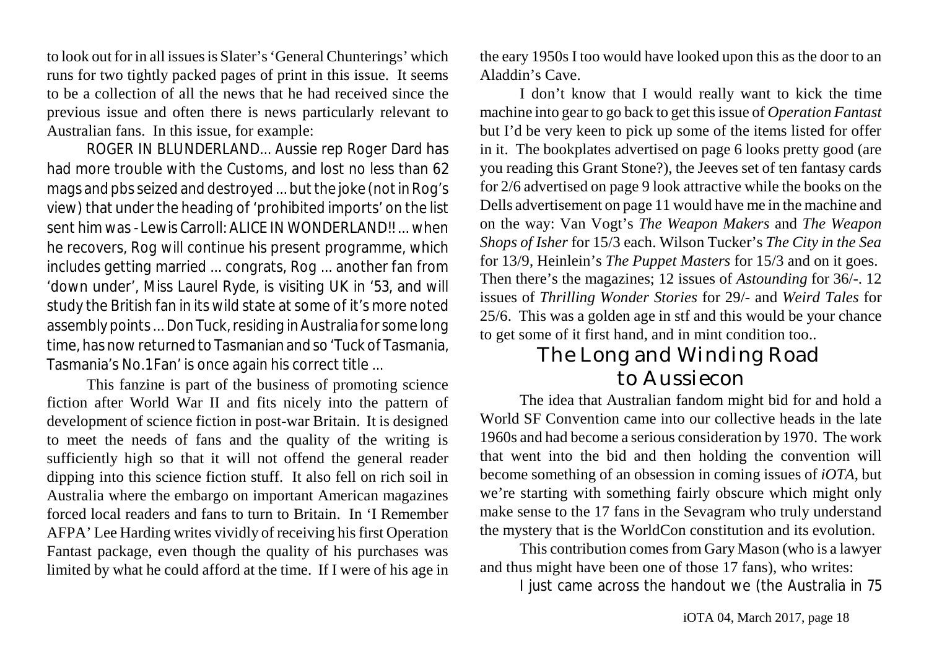to look out for in all issuesis Slater's 'General Chunterings' which runs for two tightly packed pages of print in this issue. It seems to be a collection of all the news that he had received since the previous issue and often there is news particularly relevant to Australian fans. In this issue, for example:

ROGER IN BLUNDERLAND... Aussie rep Roger Dard has had more trouble with the Customs, and lost no less than 62 mags and pbs seized and destroyed ... but the joke (not in Rog's view) that under the heading of 'prohibited imports' on the list sent him was - Lewis Carroll: ALICE IN WONDERLAND!! ... when he recovers, Rog will continue his present programme, which includes getting married ... congrats, Rog ... another fan from 'down under', Miss Laurel Ryde, is visiting UK in '53, and will study the British fan in its wild state at some of it's more noted assembly points ...Don Tuck, residing in Australia for some long time, has now returned to Tasmanian and so 'Tuck of Tasmania, Tasmania's No.1 Fan' is once again his correct title ...

This fanzine is part of the business of promoting science fiction after World War II and fits nicely into the pattern of development of science fiction in post-war Britain. It is designed to meet the needs of fans and the quality of the writing is sufficiently high so that it will not offend the general reader dipping into this science fiction stuff. It also fell on rich soil in Australia where the embargo on important American magazines forced local readers and fans to turn to Britain. In 'I Remember AFPA' Lee Harding writes vividly of receiving his first Operation Fantast package, even though the quality of his purchases was limited by what he could afford at the time. If I were of his age in

the eary 1950s I too would have looked upon this as the door to an Aladdin's Cave.

I don't know that I would really want to kick the time machine into gear to go back to get thisissue of *Operation Fantast* but I'd be very keen to pick up some of the items listed for offer in it. The bookplates advertised on page 6 looks pretty good (are you reading this Grant Stone?), the Jeeves set of ten fantasy cards for 2/6 advertised on page 9 look attractive while the books on the Dells advertisement on page 11 would have me in the machine and on the way: Van Vogt's *The Weapon Makers* and *The Weapon Shops of Isher* for 15/3 each. Wilson Tucker's *The City in the Sea* for 13/9, Heinlein's *The Puppet Masters* for 15/3 and on it goes. Then there's the magazines; 12 issues of *Astounding* for 36/-. 12 issues of *Thrilling Wonder Stories* for 29/- and *Weird Tales* for 25/6. This was a golden age in stf and this would be your chance to get some of it first hand, and in mint condition too..

## The Long and Winding Road to Aussiecon

The idea that Australian fandom might bid for and hold a World SF Convention came into our collective heads in the late 1960s and had become a serious consideration by 1970. The work that went into the bid and then holding the convention will become something of an obsession in coming issues of *iOTA*, but we're starting with something fairly obscure which might only make sense to the 17 fans in the Sevagram who truly understand the mystery that is the WorldCon constitution and its evolution.

This contribution comes from Gary Mason (who is a lawyer and thus might have been one of those 17 fans), who writes:

I just came across the handout we (the Australia in 75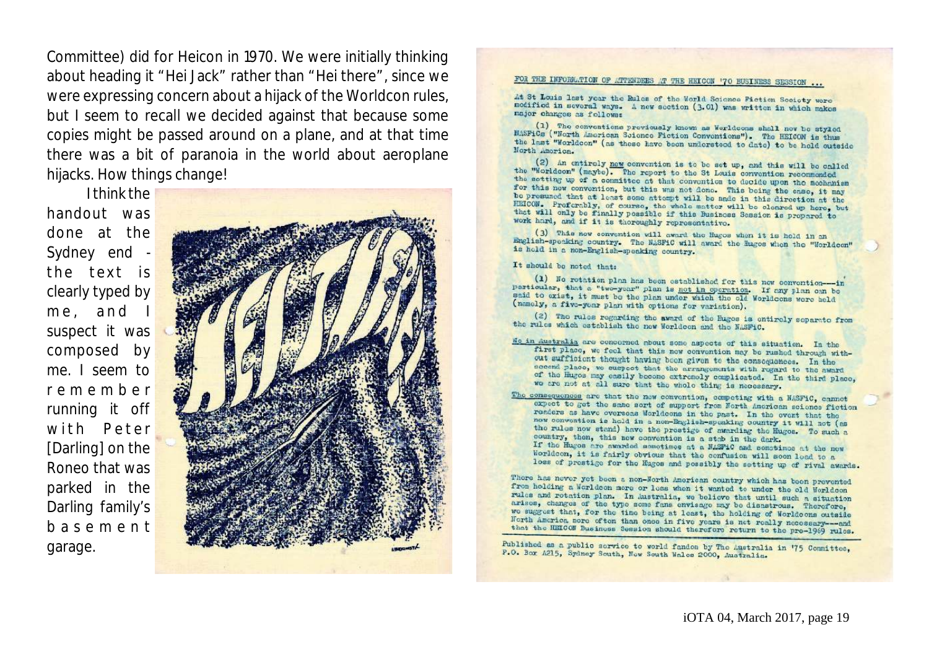Committee) did for Heicon in 1970. We were initially thinking about heading it "Hei Jack" rather than "Hei there", since we were expressing concern about a hijack of the Worldcon rules, but I seem to recall we decided against that because some copies might be passed around on a plane, and at that time there was a bit of paranoia in the world about aeroplane hijacks. How things change!

I think the handout was done at the Sydney end the text is clearly typed by me, and suspect it was composed by me. I seem to r e m e m b e r running it off with Peter [Darling] on the Roneo that was parked in the Darling family's b a s e m e n t garage.



#### FOR THE INFORMATION OF ATTENDEES AT THE HEICON '70 BUSINESS SESSION ...

At St Louis last year the Rules of the World Science Fiction Society were modified in several ways. A new section (3.01) was written in which makes major changes as follows:

(1) The conventions previously known as Worldcons shall now be styled MASFICS ("North American Science Fiction Conventions"). The HEICOM is thus the last "Worldcon" (as these have been understood to date) to be held outside North America.

(2) An entiroly new convention is to be set up, and this will be called the "Worldcon" (maybe). The report to the St Louis convention recommended the setting up of a committee at that convention to decide upon the mechanism for this now convention, but this was not done. This being the ease, it may be presumed that at least some attempt will be nade in this direction at the HEICON. Proferably, of course, the whole matter will be cleared up here, but that will only be finally possible if this Business Session is propored to work hard, and if it is thoroughly representative.

(3) This now convention will award the Hugos when it is hold in an English-specking country. The NASFIC will award the Hugos when the "Worldcon" is hold in a non-English-speaking country.

#### It should be noted that:

(1) No rotation plan has been established for this new convention-in particular, that a "two-year" plan is not in operation. If any plan on be said to exist, it must be the plan under which the old Worldcons were held (namely, a five-year plan with options for variation).

(2) The rules regarding the award of the Euges is entirely separate from the rules which establish the new Worldcon and the NASFIC.

- Me in Australia are concerned about some aspects of this situation. In the first place, we feel that this new convention may be rushed through without sufficient thought having been given to the consequences. In the sceend place, we suspect that the arrangements with regard to the award of the Hugos may easily become extremely complicated. In the third place, we are not at all sure that the whole thing is necessary.
- The consequences are that the new convention, competing with a NASFiC, cannot expect to get the same sort of support from North American science fiction readers as have overseas Morldcons in the past. In the ovent that the now convention is held in a non-English-speaking country it will not (as the rules now stand) have the prestige of awarding the Hugos. To such a country, then, this new convention is a stab in the dark. If the Hugos are awarded sometimes at a MASFIC and semetimes at the new Worldcon, it is fairly obvious that the confusion will soon lead to a loss of prestige for the Hugos and possibly the setting up of rival awards.

There has never yet been a non-Worth American country which has been prevented from holding a Worldcon more or loss when it wanted to under the old Worldcon rules and rotation plan. In Australia, we believe that until such a situation arisos, changes of the type some fans envisage may be disastrous. Therefore, we suggest that, for the time being at least, the holding of Worldoons outside North America nore often than once in five years is not really necessary--- and that the HEICON Business Session should therefore return to the pre-1969 rules.

Published as a public service to world fandom by The Australia in '75 Committee, P.O. Box A215, Sydney South, Now South Wales 2000, Australia.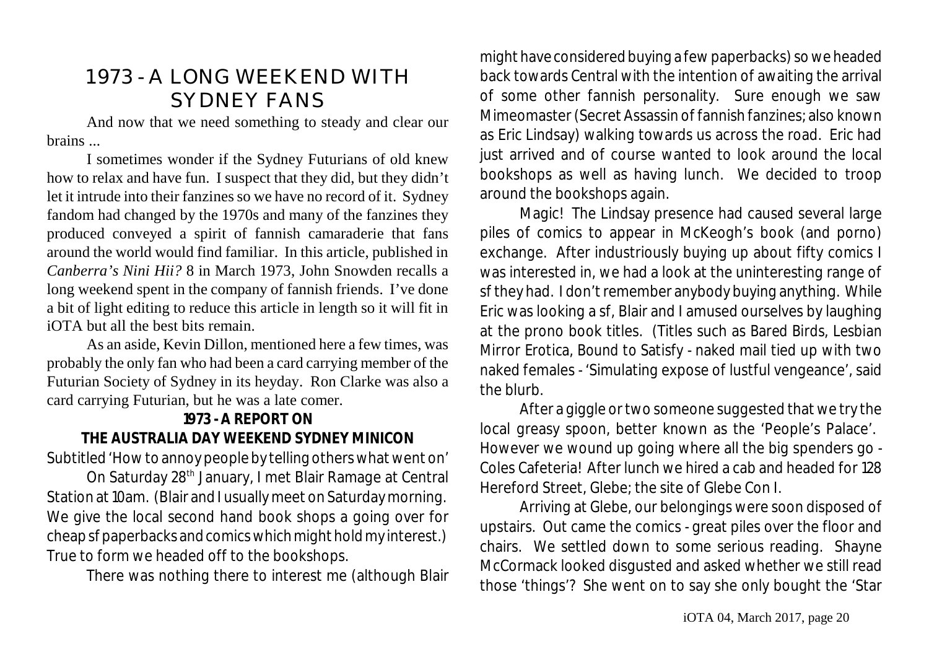# 1973 - A LONG WEEKEND WITH SYDNEY FANS

And now that we need something to steady and clear our brains ...

I sometimes wonder if the Sydney Futurians of old knew how to relax and have fun. I suspect that they did, but they didn't let it intrude into their fanzines so we have no record of it. Sydney fandom had changed by the 1970s and many of the fanzines they produced conveyed a spirit of fannish camaraderie that fans around the world would find familiar. In this article, published in *Canberra's Nini Hii?* 8 in March 1973, John Snowden recalls a long weekend spent in the company of fannish friends. I've done a bit of light editing to reduce this article in length so it will fit in iOTA but all the best bits remain.

As an aside, Kevin Dillon, mentioned here a few times, was probably the only fan who had been a card carrying member of the Futurian Society of Sydney in its heyday. Ron Clarke was also a card carrying Futurian, but he was a late comer.

### **1973 - A REPORT ON**

**THE AUSTRALIA DAY WEEKEND SYDNEY MINICON** Subtitled 'How to annoy people by telling others what went on'

On Saturday 28<sup>th</sup> January, I met Blair Ramage at Central Station at 10am. (Blair and I usually meet on Saturday morning. We give the local second hand book shops a going over for cheap sf paperbacks and comicswhich might hold my interest.) True to form we headed off to the bookshops.

There was nothing there to interest me (although Blair

might have considered buying a fewpaperbacks) so we headed back towards Central with the intention of awaiting the arrival of some other fannish personality. Sure enough we saw Mimeomaster (Secret Assassin of fannish fanzines; also known as Eric Lindsay) walking towards us across the road. Eric had just arrived and of course wanted to look around the local bookshops as well as having lunch. We decided to troop around the bookshops again.

Magic! The Lindsay presence had caused several large piles of comics to appear in McKeogh's book (and porno) exchange. After industriously buying up about fifty comics I was interested in, we had a look at the uninteresting range of sf they had. I don't remember anybody buying anything. While Eric was looking a sf, Blair and I amused ourselves by laughing at the prono book titles. (Titles such as *Bared Birds*, *Lesbian Mirror Erotica*, *Bound to Satisfy* - naked mail tied up with two naked females - 'Simulating expose of lustful vengeance', said the blurb.

After a giggle or two someone suggested that we try the local greasy spoon, better known as the 'People's Palace'. However we wound up going where all the big spenders go - Coles Cafeteria! After lunch we hired a cab and headed for 128 Hereford Street, Glebe; the site of Glebe Con I.

Arriving at Glebe, our belongings were soon disposed of upstairs. Out came the comics - great piles over the floor and chairs. We settled down to some serious reading. Shayne McCormack looked disgusted and asked whether we still read those 'things'? She went on to say she only bought the 'Star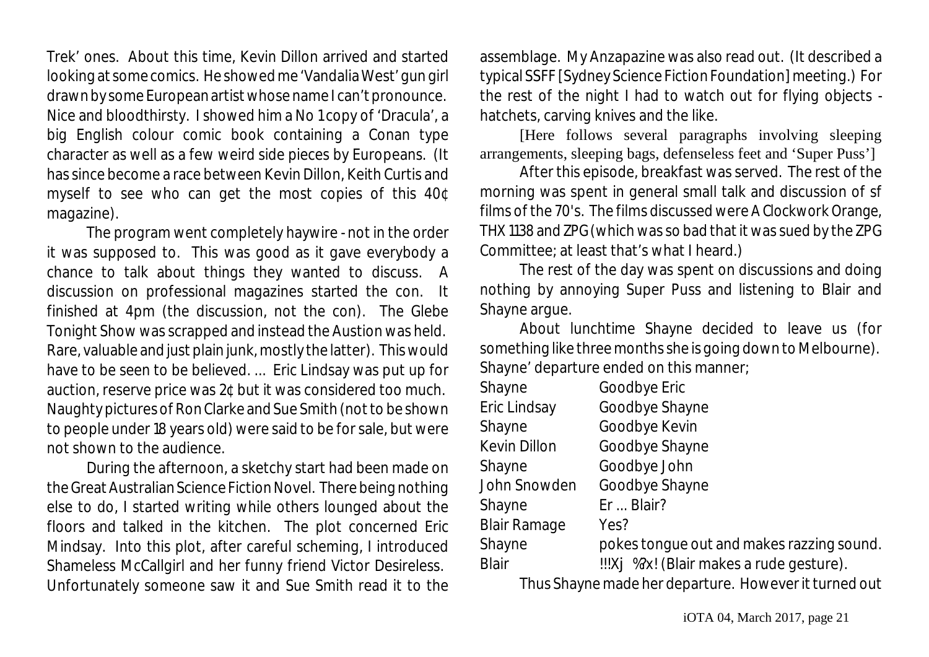Trek' ones. About this time, Kevin Dillon arrived and started looking at some comics. He showed me 'Vandalia West' gun girl drawn by some European artist whose name I can't pronounce. Nice and bloodthirsty. I showed him a No 1 copy of 'Dracula', a big English colour comic book containing a Conan type character as well as a few weird side pieces by Europeans. (It has since become a race between Kevin Dillon, Keith Curtis and myself to see who can get the most copies of this 40¢ magazine).

The program went completely haywire - not in the order it was supposed to. This was good as it gave everybody a chance to talk about things they wanted to discuss. A discussion on professional magazines started the con. It finished at 4pm (the discussion, not the con). The Glebe Tonight Show was scrapped and instead the Austion was held. Rare, valuable and just plain junk, mostly the latter). This would have to be seen to be believed. ... Eric Lindsay was put up for auction, reserve price was 2¢ but it was considered too much. Naughty pictures of Ron Clarke and Sue Smith (not to be shown to people under 18 years old) were said to be for sale, but were not shown to the audience.

During the afternoon, a sketchy start had been made on the Great Australian Science Fiction Novel. There being nothing else to do, I started writing while others lounged about the floors and talked in the kitchen. The plot concerned Eric Mindsay. Into this plot, after careful scheming, I introduced Shameless McCallgirl and her funny friend Victor Desireless. Unfortunately someone saw it and Sue Smith read it to the

assemblage. My Anzapazine was also read out. (It described a typical SSFF [Sydney Science Fiction Foundation] meeting.) For the rest of the night I had to watch out for flying objects hatchets, carving knives and the like.

[Here follows several paragraphs involving sleeping arrangements, sleeping bags, defenseless feet and 'Super Puss']

After this episode, breakfast was served. The rest of the morning was spent in general small talk and discussion of sf films of the 70's. The films discussed were *A Clockwork Orange*, *THX 1138* and *ZPG* (which was so bad that it was sued by the ZPG Committee; at least that's what I heard.)

The rest of the day was spent on discussions and doing nothing by annoying Super Puss and listening to Blair and Shayne argue.

About lunchtime Shayne decided to leave us (for something like three months she is going down to Melbourne). Shayne' departure ended on this manner;

| Shayne              | Goodbye Eric                              |
|---------------------|-------------------------------------------|
| Eric Lindsay        | Goodbye Shayne                            |
| Shayne              | Goodbye Kevin                             |
| Kevin Dillon        | Goodbye Shayne                            |
| Shayne              | Goodbye John                              |
| John Snowden        | Goodbye Shayne                            |
| Shayne              | Er  Blair?                                |
| <b>Blair Ramage</b> | Yes?                                      |
| Shayne              | pokes tongue out and makes razzing sound. |
| <b>Blair</b>        | !!!Xj %?x! (Blair makes a rude gesture).  |

Thus Shayne made her departure. However it turned out